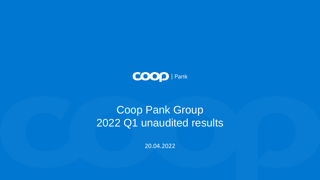

# Coop Pank Group 2022 Q1 unaudited results

20.04.2022

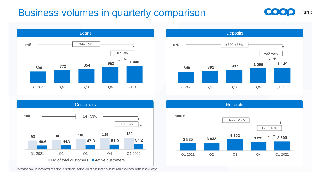

### **Business volumes in quarterly comparison**











Increase calculations refer to active customers. Active client has made at least 4 transactions in the last 60 days

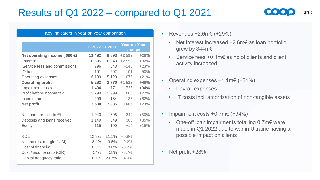## Results of Q1 2022 – compared to Q1 2021

|                                         | Q1 2022 Q1 2021 |         | <b>Year on Year</b><br>change |        |
|-----------------------------------------|-----------------|---------|-------------------------------|--------|
| Net operating income ('000 $\epsilon$ ) | 11 492          | 8 893   | $+2599$                       | $+29%$ |
| <b>Interest</b>                         | 10 595          | 8 0 4 3 | $+2552$                       | $+32%$ |
| Service fees and commissions            | 796             | 648     | $+148$                        | $+23%$ |
| Other                                   | 101             | 202     | $-101$                        | $-50%$ |
| <b>Operating expenses</b>               | $-6199$         | $-5123$ | $-1076$                       | $+21%$ |
| <b>Operating profit</b>                 | 5 2 9 3         | 3770    | $+1523$                       | $+40%$ |
| <b>Impairment costs</b>                 | $-1494$         | $-771$  | $-723$                        | $+94%$ |
| Profit before income tax                | 3799            | 2 9 9 9 | +800                          | $+27%$ |
| Income tax                              | $-299$          | $-164$  | $-135$                        | $+82%$ |
| <b>Net profit</b>                       | 3 500           | 2 8 3 5 | $+665$                        | $+23%$ |
| Net loan portfolio (m€)                 | 1 $040$         | 696     | $+344$                        | $+50%$ |
| Deposits and loans received             | 1 1 4 9         | 849     | $+300$                        | $+35%$ |
| <b>Equity</b>                           | 115             | 100     | $+15$                         | $+15%$ |
| <b>ROE</b>                              | 12.3%           | 11.5%   | $+0.9%$                       |        |
| Net interest margin (NIM)               | 3.4%            | 3.5%    | $-0.2%$                       |        |
| Cost of financing                       | 0.5%            | 0.8%    | $-0.2%$                       |        |
| Cost / income ratio (CIR)               | 54%             | 58%     | $-3.7%$                       |        |
| Capital adequacy ratio                  | 16.7%           | 20.7%   | $-4.0%$                       |        |



- Key indicators in year on year comparison Revenues +2.6m€ (+29%)
	- Net interest increased +2.6m€ as loan portfolio grew by 344m€
	- Service fees +0.1m€ as no of clients and client activity increased
	- Operating expenses  $+1.1$ m€ (+21%)
		- Payroll expenses
		- IT costs incl. amortization of non-tangible assets
	- Impairment costs  $+0.7$ m $\in$   $(+94\%)$ 
		- One-off loan impairments totalling 0.7m€ were made in Q1 2022 due to war in Ukraine having a possible impact on clients
	- Net profit +23%



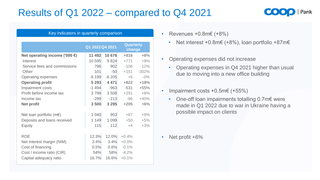### Results of Q1 2022 – compared to Q4 2021

#### Key indicators in quarterly comparison • Revenues +0.8m€ (+8%)

- - Net interest +0.8m $\in$  (+8%), loan portfolio +87m $\in$
- Operating expenses did not increase
	- Operating expenses in Q4 2021 higher than usual due to moving into a new office building
- Impairment costs  $+0.5$ m $\in$   $(+55\%)$ 
	- One-off loan impairments totalling 0.7m€ were made in Q1 2022 due to war in Ukraine having a possible impact on clients

Net profit +6%





|                                         | Q1 2022 Q4 2021 |         | <b>Quarterly</b><br>change |         |
|-----------------------------------------|-----------------|---------|----------------------------|---------|
| Net operating income ('000 $\epsilon$ ) | 11 492          | 10 676  | +816                       | $+8%$   |
| <b>Interest</b>                         | 10 595          | 9 8 24  | $+771$                     | $+8%$   |
| Service fees and commissions            | 796             | 902     | $-106$                     | $-12%$  |
| Other                                   | 101             | $-50$   | $+151$                     | $-302%$ |
| <b>Operating expenses</b>               | $-6199$         | $-6205$ | $+6$                       | $-0\%$  |
| <b>Operating profit</b>                 | 5 293           | 4 4 7 1 | $+822$                     | $+18%$  |
| <b>Impairment costs</b>                 | $-1494$         | $-963$  | $-531$                     | $+55%$  |
| Profit before income tax                | 3799            | 3508    | $+291$                     | $+8%$   |
| Income tax                              | $-299$          | $-213$  | $-86$                      | $+40%$  |
| <b>Net profit</b>                       | 3 500           | 3 2 9 5 | $+205$                     | $+6%$   |
| Net loan portfolio (m€)                 | 1 040           | 953     | $+87$                      | $+9%$   |
| Deposits and loans received             | 1 1 4 9         | 1 0 9 9 | $+50$                      | $+5%$   |
| <b>Equity</b>                           | 115             | 112     | $+4$                       | $+3%$   |
| <b>ROE</b>                              | 12.3%           | 12.0%   | $+0.4%$                    |         |
| Net interest margin (NIM)               | 3.4%            | 3.4%    | $+0.0%$                    |         |
| Cost of financing                       | 0.5%            | 0.6%    | $-0.1%$                    |         |
| Cost / income ratio (CIR)               | 54%             | 58%     | $-4.2%$                    |         |
| Capital adequacy ratio                  | 16.7%           | 16.6%   | $+0.1%$                    |         |

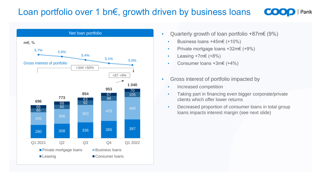#### Loan portfolio over 1 bn€, growth driven by business loans

- Net loan portfolio Quarterly growth of loan portfolio +87m€ (9%)
	- Business loans +45m€ (+10%)
	- Private mortgage loans +32m€ (+9%)
	- Leasing +7m€ (+8%)
	- Consumer loans +3m€ (+4%)
	- Gross interest of portfolio impacted by
		- Increased competition
		- Taking part in financing even bigger corporate/private clients which offer lower returns
		- Decreased proportion of consumer loans in total group loans impacts interest margin (see next slide)







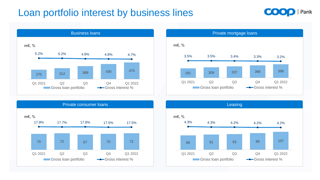## Loan portfolio interest by business lines









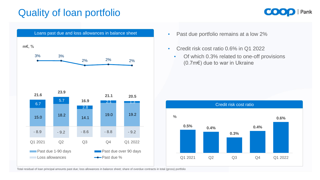## Quality of loan portfolio

- 
- Credit risk cost ratio 0.6% in Q1 2022
	- Of which 0.3% related to one-off provisions (0.7m€) due to war in Ukraine







Total residual of loan principal amounts past due; loss allowances in balance sheet; share of overdue contracts in total (gross) portfolio



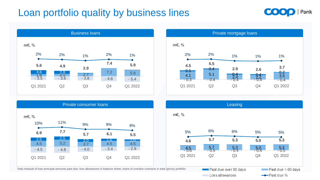## Loan portfolio quality by business lines

Total residual of loan principal amounts past due; loss allowances in balance sheet; share of overdue contracts in total (gross) portfolio









| $m \epsilon$ , %<br>10% | 11%        | 9%             | 9%         | 8%              |
|-------------------------|------------|----------------|------------|-----------------|
| 6.9                     | 7.7        | 5.7            | 6.1        | 5.5             |
| <u>2.5</u><br>4.5       | 2.5<br>5.2 | 2.0<br>3.7     | 1.6<br>4.5 | $\frac{4}{4.5}$ |
| $-4.5$                  | $-4.8$     | $-4.0$         | $-3.4$     | $-2.9$          |
| Q1 2021                 | Q2         | Q <sub>3</sub> | Q4         | Q1 2022         |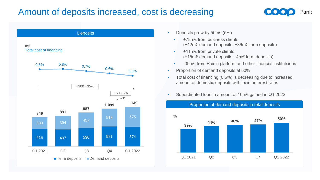#### Amount of deposits increased, cost is decreasing

- - +78m€ from business clients (+42m€ demand deposits, +36m€ term deposits)
	- +11m€ from private clients (+15m€ demand deposits, -4m€ term deposits)
	- -39m€ from Raisin platform and other financial institutsions
- Proportion of demand deposits at 50%
- Total cost of financing (0.5%) is decreasing due to increased amount of domestic deposits with lower interest rates
- Subordinated loan in amount of 10m€ gained in Q1 2022









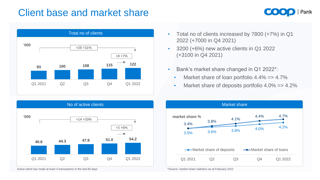### Client base and market share

Total no of clients











Active client has made at least 4 transactions in the last 60 days \*Source: market share statistics as at February 2022



- Total no of clients increased by 7800 (+7%) in Q1 2022 (+7000 in Q4 2021)
- 3200 (+6%) new active clients in Q1 2022 (+3100 in Q4 2021)
- Bank's market share changed in Q1 2022\*:
	- Market share of loan portfolio 4.4% = > 4.7%
	- Market share of deposits portfolio 4.0% = > 4.2%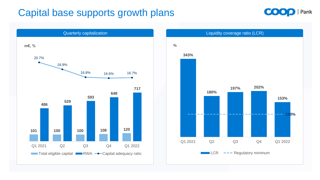#### Capital base supports growth plans







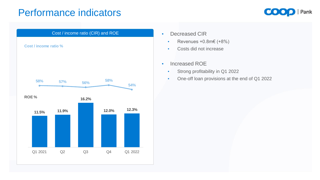#### Performance indicators

- - Revenues +0.8m€ (+8%)
	- Costs did not increase
- Increased ROE
	- Strong profitability in Q1 2022
	- One-off loan provisions at the end of Q1 2022







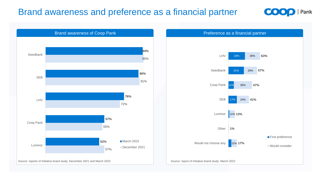#### Brand awareness and preference as a financial partner

#### Preference as a financial partner







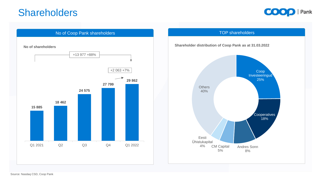#### Shareholders







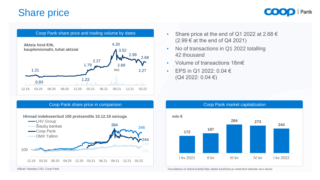- Share price at the end of Q1 2022 at 2.68  $\epsilon$ (2.99 € at the end of Q4 2021)
- No of transactions in Q1 2022 totalling 42 thousand
- Volume of transactions 18m€
- EPS in Q1 2022:  $0.04 \in$ (Q4 2022: 0.04 €)

#### Share price









Allikad: Nasdaq CSD, Coop Pank Turuväärtus on leitud kvartali lõpu aktsia turuhinna ja noteeritud aktsiate arvu alusel



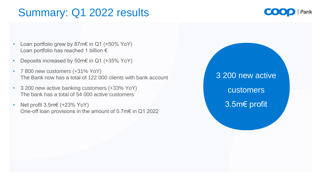# Summary: Q1 2022 results

3 200 new active customers 3.5m€ profit





- Loan portfolio grew by 87m€ in Q1 (+50% YoY) Loan portfolio has reached 1 billion €
- Deposits increased by 50m€ in Q1 (+35% YoY)
- 7 800 new customers (+31% YoY) The Bank now has a total of 122 000 clients with bank account
- 3 200 new active banking customers (+33% YoY) The bank has a total of 54 000 active customers
- Net profit  $3.5m \in (+23\% \text{ YoY})$ One-off loan provisions in the amount of 0.7m€ in Q1 2022